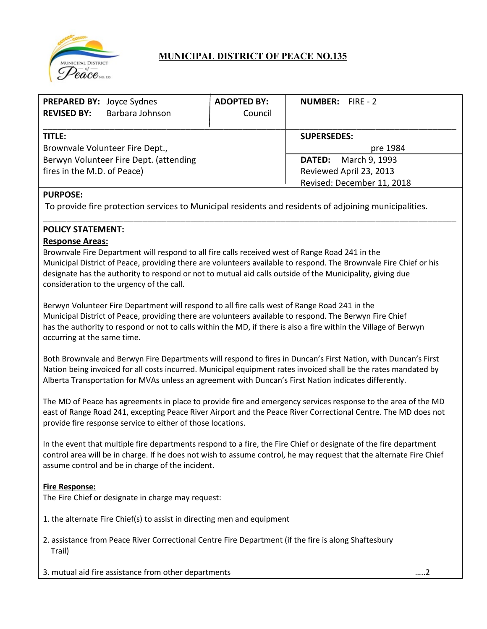

# **MUNICIPAL DISTRICT OF PEACE NO.135**

| PREPARED BY: Joyce Sydnes<br><b>REVISED BY:</b> | Barbara Johnson | <b>ADOPTED BY:</b><br>Council | NUMBER: FIRE - 2            |  |
|-------------------------------------------------|-----------------|-------------------------------|-----------------------------|--|
| TITLE:                                          |                 |                               | <b>SUPERSEDES:</b>          |  |
| Brownvale Volunteer Fire Dept.,                 |                 |                               | pre 1984                    |  |
| Berwyn Volunteer Fire Dept. (attending          |                 |                               | <b>DATED:</b> March 9, 1993 |  |
| fires in the M.D. of Peace)                     |                 |                               | Reviewed April 23, 2013     |  |
|                                                 |                 |                               | Revised: December 11, 2018  |  |

\_\_\_\_\_\_\_\_\_\_\_\_\_\_\_\_\_\_\_\_\_\_\_\_\_\_\_\_\_\_\_\_\_\_\_\_\_\_\_\_\_\_\_\_\_\_\_\_\_\_\_\_\_\_\_\_\_\_\_\_\_\_\_\_\_\_\_\_\_\_\_\_\_\_\_\_\_\_\_\_\_\_\_\_\_\_\_

## **PURPOSE:**

To provide fire protection services to Municipal residents and residents of adjoining municipalities.

### **POLICY STATEMENT:**

### **Response Areas:**

Brownvale Fire Department will respond to all fire calls received west of Range Road 241 in the Municipal District of Peace, providing there are volunteers available to respond. The Brownvale Fire Chief or his designate has the authority to respond or not to mutual aid calls outside of the Municipality, giving due consideration to the urgency of the call.

Berwyn Volunteer Fire Department will respond to all fire calls west of Range Road 241 in the Municipal District of Peace, providing there are volunteers available to respond. The Berwyn Fire Chief has the authority to respond or not to calls within the MD, if there is also a fire within the Village of Berwyn occurring at the same time.

Both Brownvale and Berwyn Fire Departments will respond to fires in Duncan's First Nation, with Duncan's First Nation being invoiced for all costs incurred. Municipal equipment rates invoiced shall be the rates mandated by Alberta Transportation for MVAs unless an agreement with Duncan's First Nation indicates differently.

The MD of Peace has agreements in place to provide fire and emergency services response to the area of the MD east of Range Road 241, excepting Peace River Airport and the Peace River Correctional Centre. The MD does not provide fire response service to either of those locations.

In the event that multiple fire departments respond to a fire, the Fire Chief or designate of the fire department control area will be in charge. If he does not wish to assume control, he may request that the alternate Fire Chief assume control and be in charge of the incident.

### **Fire Response:**

The Fire Chief or designate in charge may request:

1. the alternate Fire Chief(s) to assist in directing men and equipment

2. assistance from Peace River Correctional Centre Fire Department (if the fire is along Shaftesbury Trail)

3. mutual aid fire assistance from other departments …..2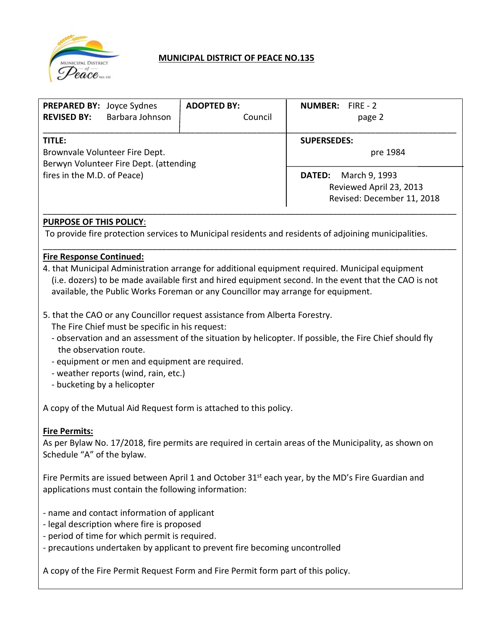

## **MUNICIPAL DISTRICT OF PEACE NO.135**

| <b>PREPARED BY: Joyce Sydnes</b><br>Barbara Johnson<br><b>REVISED BY:</b>          | <b>ADOPTED BY:</b><br>Council  | <b>NUMBER:</b> FIRE - 2<br>page 2                                                       |
|------------------------------------------------------------------------------------|--------------------------------|-----------------------------------------------------------------------------------------|
| TITLE:<br>Brownvale Volunteer Fire Dept.<br>Berwyn Volunteer Fire Dept. (attending | <b>SUPERSEDES:</b><br>pre 1984 |                                                                                         |
| fires in the M.D. of Peace)                                                        |                                | March 9, 1993<br><b>DATED:</b><br>Reviewed April 23, 2013<br>Revised: December 11, 2018 |

## **PURPOSE OF THIS POLICY**:

To provide fire protection services to Municipal residents and residents of adjoining municipalities.

### **Fire Response Continued:**

4. that Municipal Administration arrange for additional equipment required. Municipal equipment (i.e. dozers) to be made available first and hired equipment second. In the event that the CAO is not available, the Public Works Foreman or any Councillor may arrange for equipment.

\_\_\_\_\_\_\_\_\_\_\_\_\_\_\_\_\_\_\_\_\_\_\_\_\_\_\_\_\_\_\_\_\_\_\_\_\_\_\_\_\_\_\_\_\_\_\_\_\_\_\_\_\_\_\_\_\_\_\_\_\_\_\_\_\_\_\_\_\_\_\_\_\_\_\_\_\_\_\_\_\_\_\_\_\_\_\_

- 5. that the CAO or any Councillor request assistance from Alberta Forestry.
	- The Fire Chief must be specific in his request:
	- observation and an assessment of the situation by helicopter. If possible, the Fire Chief should fly the observation route.
	- equipment or men and equipment are required.
	- weather reports (wind, rain, etc.)
	- bucketing by a helicopter

A copy of the Mutual Aid Request form is attached to this policy.

### **Fire Permits:**

As per Bylaw No. 17/2018, fire permits are required in certain areas of the Municipality, as shown on Schedule "A" of the bylaw.

Fire Permits are issued between April 1 and October 31<sup>st</sup> each year, by the MD's Fire Guardian and applications must contain the following information:

- name and contact information of applicant
- legal description where fire is proposed
- period of time for which permit is required.
- precautions undertaken by applicant to prevent fire becoming uncontrolled

A copy of the Fire Permit Request Form and Fire Permit form part of this policy.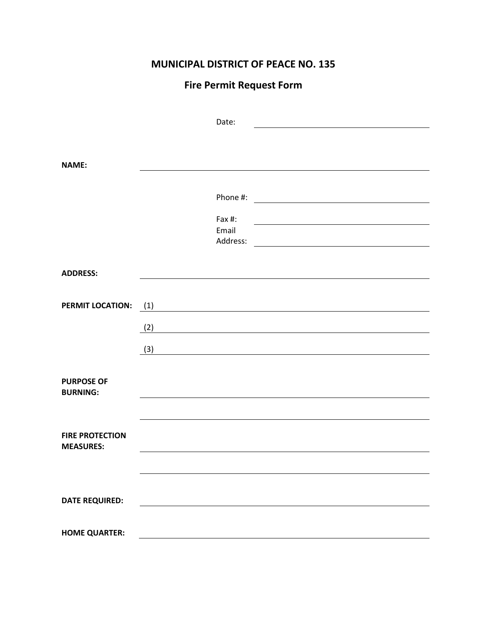# **MUNICIPAL DISTRICT OF PEACE NO. 135**

# **Fire Permit Request Form**

|                                      |     | Date:             |  |  |
|--------------------------------------|-----|-------------------|--|--|
|                                      |     |                   |  |  |
| <b>NAME:</b>                         |     |                   |  |  |
|                                      |     |                   |  |  |
|                                      |     | Phone #:          |  |  |
|                                      |     | Fax #:            |  |  |
|                                      |     | Email<br>Address: |  |  |
|                                      |     |                   |  |  |
| <b>ADDRESS:</b>                      |     |                   |  |  |
|                                      |     |                   |  |  |
| <b>PERMIT LOCATION:</b>              | (1) |                   |  |  |
|                                      | (2) |                   |  |  |
|                                      | (3) |                   |  |  |
|                                      |     |                   |  |  |
| <b>PURPOSE OF</b><br><b>BURNING:</b> |     |                   |  |  |
|                                      |     |                   |  |  |
| <b>FIRE PROTECTION</b>               |     |                   |  |  |
| <b>MEASURES:</b>                     |     |                   |  |  |
|                                      |     |                   |  |  |
|                                      |     |                   |  |  |
| <b>DATE REQUIRED:</b>                |     |                   |  |  |
| <b>HOME QUARTER:</b>                 |     |                   |  |  |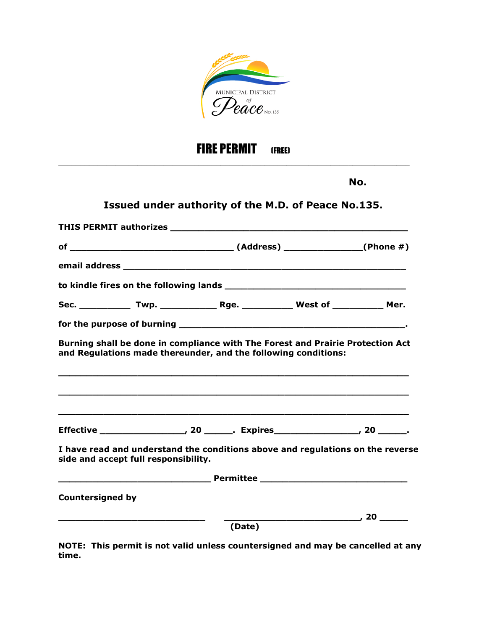

# FIRE PERMIT (FREE)

\_\_\_\_\_\_\_\_\_\_\_\_\_\_\_\_\_\_\_\_\_\_\_\_\_\_\_\_\_\_\_\_\_\_\_\_\_\_\_\_\_\_\_\_\_\_\_\_\_\_\_\_\_\_\_\_\_\_\_\_\_\_\_\_\_\_\_\_\_\_\_\_\_\_\_\_\_\_\_\_

**No.**

# **Issued under authority of the M.D. of Peace No.135.**

|                         |                                      |        | Burning shall be done in compliance with The Forest and Prairie Protection Act<br>and Regulations made thereunder, and the following conditions: |  |  |  |  |
|-------------------------|--------------------------------------|--------|--------------------------------------------------------------------------------------------------------------------------------------------------|--|--|--|--|
|                         |                                      |        |                                                                                                                                                  |  |  |  |  |
|                         |                                      |        |                                                                                                                                                  |  |  |  |  |
|                         | side and accept full responsibility. |        | I have read and understand the conditions above and regulations on the reverse                                                                   |  |  |  |  |
|                         |                                      |        |                                                                                                                                                  |  |  |  |  |
| <b>Countersigned by</b> |                                      |        |                                                                                                                                                  |  |  |  |  |
|                         |                                      |        |                                                                                                                                                  |  |  |  |  |
|                         |                                      | (Date) |                                                                                                                                                  |  |  |  |  |

**NOTE: This permit is not valid unless countersigned and may be cancelled at any time.**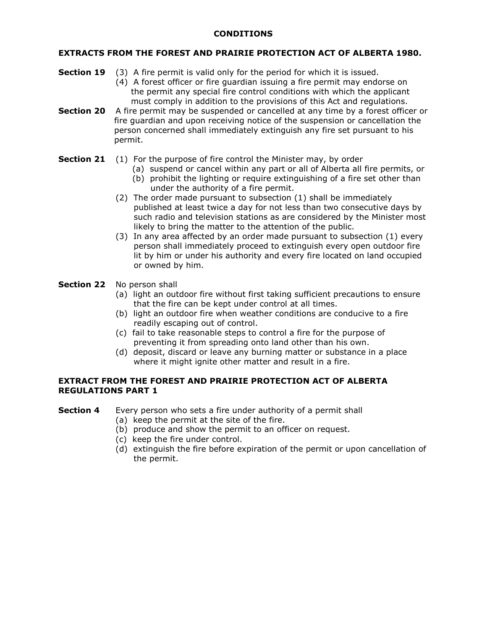### **CONDITIONS**

### **EXTRACTS FROM THE FOREST AND PRAIRIE PROTECTION ACT OF ALBERTA 1980.**

- **Section 19** (3) A fire permit is valid only for the period for which it is issued.
	- (4) A forest officer or fire guardian issuing a fire permit may endorse on the permit any special fire control conditions with which the applicant must comply in addition to the provisions of this Act and regulations.
- **Section 20** A fire permit may be suspended or cancelled at any time by a forest officer or fire guardian and upon receiving notice of the suspension or cancellation the person concerned shall immediately extinguish any fire set pursuant to his permit.

### **Section 21** (1) For the purpose of fire control the Minister may, by order

- (a) suspend or cancel within any part or all of Alberta all fire permits, or
	- (b) prohibit the lighting or require extinguishing of a fire set other than under the authority of a fire permit.
- (2) The order made pursuant to subsection (1) shall be immediately published at least twice a day for not less than two consecutive days by such radio and television stations as are considered by the Minister most likely to bring the matter to the attention of the public.
- (3) In any area affected by an order made pursuant to subsection (1) every person shall immediately proceed to extinguish every open outdoor fire lit by him or under his authority and every fire located on land occupied or owned by him.

### **Section 22** No person shall

- (a) light an outdoor fire without first taking sufficient precautions to ensure that the fire can be kept under control at all times.
- (b) light an outdoor fire when weather conditions are conducive to a fire readily escaping out of control.
- (c) fail to take reasonable steps to control a fire for the purpose of preventing it from spreading onto land other than his own.
- (d) deposit, discard or leave any burning matter or substance in a place where it might ignite other matter and result in a fire.

### **EXTRACT FROM THE FOREST AND PRAIRIE PROTECTION ACT OF ALBERTA REGULATIONS PART 1**

**Section 4** Every person who sets a fire under authority of a permit shall

- (a) keep the permit at the site of the fire.
- (b) produce and show the permit to an officer on request.
- (c) keep the fire under control.
- (d) extinguish the fire before expiration of the permit or upon cancellation of the permit.